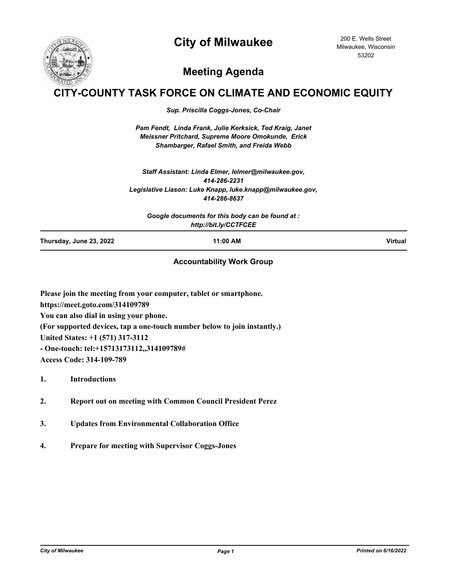## **City of Milwaukee**



200 E. Wells Street Milwaukee, Wisconsin 53202

## **Meeting Agenda**

## **Y-COUNTY TASK FORCE ON CLIMATE AND ECONOMIC EQUITY**

*Sup. Priscilla Coggs-Jones, Co-Chair*

*Pam Fendt, Linda Frank, Julie Kerksick, Ted Kraig, Janet Meissner Pritchard, Supreme Moore Omokunde, Erick Shambarger, Rafael Smith, and Freida Webb*

*Staff Assistant: Linda Elmer, lelmer@milwaukee.gov, 414-286-2231 Legislative Liason: Luke Knapp, luke.knapp@milwaukee.gov, 414-286-8637*

*Google documents for this body can be found at : http://bit.ly/CCTFCEE*

**Thursday, June 23, 2022 11:00 AM Virtual**

## **Accountability Work Group**

**Please join the meeting from your computer, tablet or smartphone. https://meet.goto.com/314109789 You can also dial in using your phone. (For supported devices, tap a one-touch number below to join instantly.) United States: +1 (571) 317-3112 - One-touch: tel:+15713173112,,314109789# Access Code: 314-109-789**

**1. Introductions**

- **2. Report out on meeting with Common Council President Perez**
- **3. Updates from Environmental Collaboration Office**
- **4. Prepare for meeting with Supervisor Coggs-Jones**